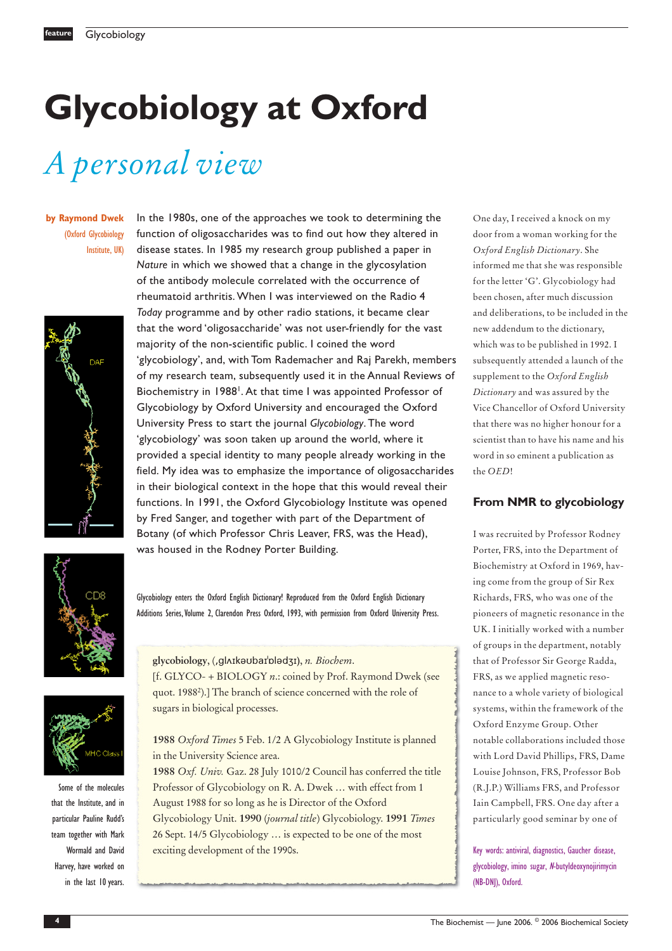# **Glycobiology at Oxford**

In the 1980s, one of the approaches we took to determining the function of oligosaccharides was to find out how they altered in disease states. In 1985 my research group published a paper in *Nature* in which we showed that a change in the glycosylation of the antibody molecule correlated with the occurrence of rheumatoid arthritis. When I was interviewed on the Radio 4 *Today* programme and by other radio stations, it became clear that the word 'oligosaccharide' was not user-friendly for the vast

majority of the non-scientific public. I coined the word

'glycobiology', and, with Tom Rademacher and Raj Parekh, members of my research team, subsequently used it in the Annual Reviews of Biochemistry in 1988<sup>1</sup>. At that time I was appointed Professor of Glycobiology by Oxford University and encouraged the Oxford University Press to start the journal *Glycobiology*. The word 'glycobiology' was soon taken up around the world, where it provided a special identity to many people already working in the field. My idea was to emphasize the importance of oligosaccharides in their biological context in the hope that this would reveal their functions. In 1991, the Oxford Glycobiology Institute was opened by Fred Sanger, and together with part of the Department of Botany (of which Professor Chris Leaver, FRS, was the Head),

# *A personal view*

**by Raymond Dwek** (Oxford Glycobiology Institute, UK)





Glycobiology enters the Oxford English Dictionary! Reproduced from the Oxford English Dictionary Additions Series, Volume 2, Clarendon Press Oxford, 1993, with permission from Oxford University Press.

Some of the molecules that the Institute, and in particular Pauline Rudd's team together with Mark Wormald and David Harvey, have worked on in the last 10 years. glycobiology, (,gl^IkaubaI'DladzI), n. Biochem.

was housed in the Rodney Porter Building.

[f. GLYCO- + BIOLOGY *n*.: coined by Prof. Raymond Dwek (see quot. 19882 ).] The branch of science concerned with the role of sugars in biological processes.

**1988** *Oxford Times* 5 Feb. 1/2 A Glycobiology Institute is planned in the University Science area.

**1988** *Oxf. Univ.* Gaz. 28 July 1010/2 Council has conferred the title Professor of Glycobiology on R. A. Dwek … with effect from 1 August 1988 for so long as he is Director of the Oxford Glycobiology Unit. **1990** (*journal title*) Glycobiology. **1991** *Times* 26 Sept. 14/5 Glycobiology … is expected to be one of the most exciting development of the 1990s.

One day, I received a knock on my door from a woman working for the *Oxford English Dictionary*. She informed me that she was responsible for the letter 'G'. Glycobiology had been chosen, after much discussion and deliberations, to be included in the new addendum to the dictionary, which was to be published in 1992. I subsequently attended a launch of the supplement to the *Oxford English Dictionary* and was assured by the Vice Chancellor of Oxford University that there was no higher honour for a scientist than to have his name and his word in so eminent a publication as the *OED*!

#### **From NMR to glycobiology**

I was recruited by Professor Rodney Porter, FRS, into the Department of Biochemistry at Oxford in 1969, having come from the group of Sir Rex Richards, FRS, who was one of the pioneers of magnetic resonance in the UK. I initially worked with a number of groups in the department, notably that of Professor Sir George Radda, FRS, as we applied magnetic resonance to a whole variety of biological systems, within the framework of the Oxford Enzyme Group. Other notable collaborations included those with Lord David Phillips, FRS, Dame Louise Johnson, FRS, Professor Bob (R.J.P.) Williams FRS, and Professor Iain Campbell, FRS. One day after a particularly good seminar by one of

Key words: antiviral, diagnostics, Gaucher disease, glycobiology, imino sugar, <sup>N</sup>-butyldeoxynojirimycin (NB-DNJ), Oxford.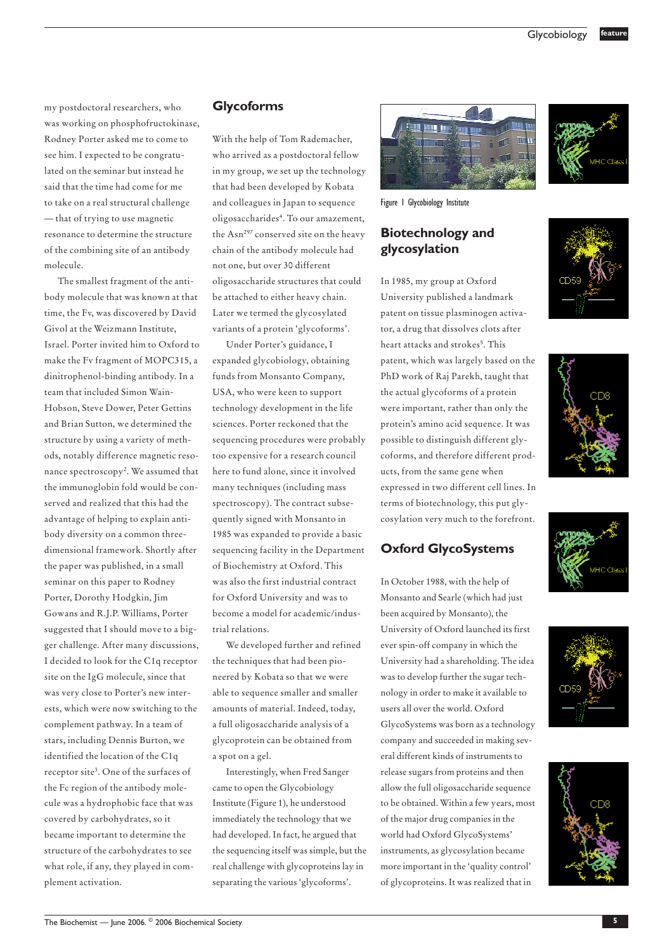my postdoctoral researchers, who was working on phosphofructokinase, Rodney Porter asked me to come to see him. I expected to be congratulated on the seminar but instead he said that the time had come for me to take on a real structural challenge — that of trying to use magnetic resonance to determine the structure of the combining site of an antibody molecule.

The smallest fragment of the antibody molecule that was known at that time, the Fv, was discovered by David Givol at the Weizmann Institute, Israel. Porter invited him to Oxford to make the Fv fragment of MOPC315, a dinitrophenol-binding antibody. In a team that included Simon Wain-Hobson, Steve Dower, Peter Gettins and Brian Sutton, we determined the structure by using a variety of methods, notably difference magnetic resonance spectroscopy<sup>2</sup>. We assumed that the immunoglobin fold would be conserved and realized that this had the advantage of helping to explain antibody diversity on a common threedimensional framework. Shortly after the paper was published, in a small seminar on this paper to Rodney Porter, Dorothy Hodgkin, Jim Gowans and R.J.P. Williams, Porter suggested that I should move to a bigger challenge. After many discussions, I decided to look for the C1q receptor site on the IgG molecule, since that was very close to Porter's new interests, which were now switching to the complement pathway. In a team of stars, including Dennis Burton, we identified the location of the C1q receptor site3. One of the surfaces of the Fc region of the antibody molecule was a hydrophobic face that was covered by carbohydrates, so it became important to determine the structure of the carbohydrates to see what role, if any, they played in complement activation.

#### **Glycoforms**

With the help of Tom Rademacher, who arrived as a postdoctoral fellow in my group, we set up the technology that had been developed by Kobata and colleagues in Japan to sequence oligosaccharides4. To our amazement, the Asn<sup>297</sup> conserved site on the heavy chain of the antibody molecule had not one, but over 30 different oligosaccharide structures that could be attached to either heavy chain. Later we termed the glycosylated variants of a protein 'glycoforms'.

Under Porter's guidance, I expanded glycobiology, obtaining funds from Monsanto Company, USA, who were keen to support technology development in the life sciences. Porter reckoned that the sequencing procedures were probably too expensive for a research council here to fund alone, since it involved many techniques (including mass spectroscopy). The contract subsequently signed with Monsanto in 1985 was expanded to provide a basic sequencing facility in the Department of Biochemistry at Oxford. This was also the first industrial contract for Oxford University and was to become a model for academic/industrial relations.

We developed further and refined the techniques that had been pioneered by Kobata so that we were able to sequence smaller and smaller amounts of material. Indeed, today, a full oligosaccharide analysis of a glycoprotein can be obtained from a spot on a gel.

Interestingly, when Fred Sanger came to open the Glycobiology Institute (Figure 1), he understood immediately the technology that we had developed. In fact, he argued that the sequencing itself was simple, but the real challenge with glycoproteins lay in separating the various 'glycoforms'.



Figure 1 Glycobiology Institute

#### **Biotechnology and glycosylation**

In 1985, my group at Oxford University published a landmark patent on tissue plasminogen activator, a drug that dissolves clots after heart attacks and strokes<sup>5</sup>. This patent, which was largely based on the PhD work of Raj Parekh, taught that the actual glycoforms of a protein were important, rather than only the protein's amino acid sequence. It was possible to distinguish different glycoforms, and therefore different products, from the same gene when expressed in two different cell lines. In terms of biotechnology, this put glycosylation very much to the forefront.

#### **Oxford GlycoSystems**

In October 1988, with the help of Monsanto and Searle (which had just been acquired by Monsanto), the University of Oxford launched its first ever spin-off company in which the University had a shareholding. The idea was to develop further the sugar technology in order to make it available to users all over the world. Oxford GlycoSystems was born as a technology company and succeeded in making several different kinds of instruments to release sugars from proteins and then allow the full oligosaccharide sequence to be obtained. Within a few years, most of the major drug companies in the world had Oxford GlycoSystems' instruments, as glycosylation became more important in the 'quality control' of glycoproteins. It was realized that in









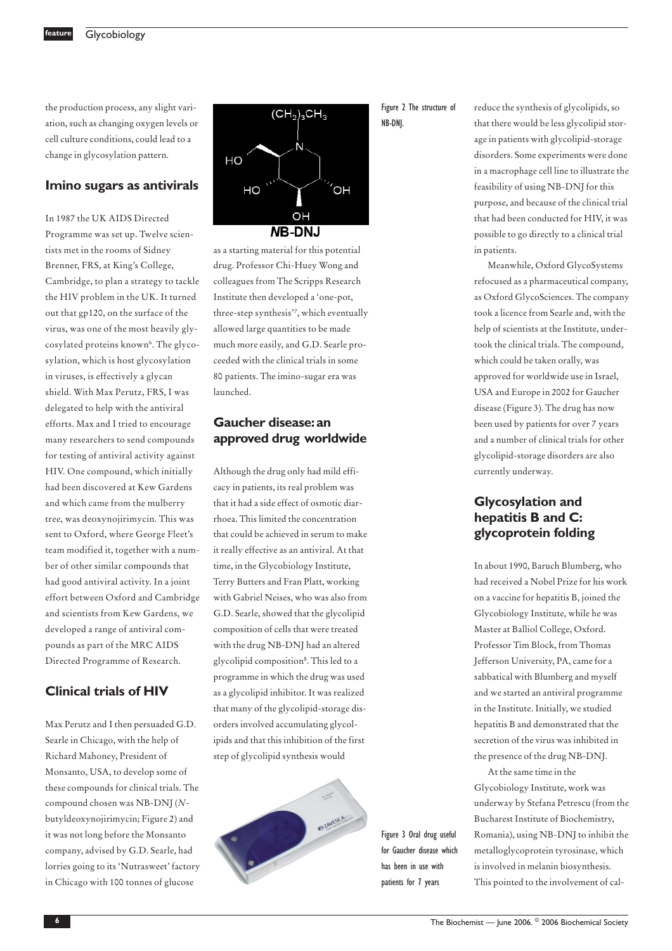**Glycobiology** 

the production process, any slight variation, such as changing oxygen levels or cell culture conditions, could lead to a change in glycosylation pattern.

#### **Imino sugars as antivirals**

In 1987 the UK AIDS Directed Programme was set up. Twelve scientists met in the rooms of Sidney Brenner, FRS, at King's College, Cambridge, to plan a strategy to tackle the HIV problem in the UK. It turned out that gp120, on the surface of the virus, was one of the most heavily glycosylated proteins known<sup>6</sup>. The glycosylation, which is host glycosylation in viruses, is effectively a glycan shield. With Max Perutz, FRS, I was delegated to help with the antiviral efforts. Max and I tried to encourage many researchers to send compounds for testing of antiviral activity against HIV. One compound, which initially had been discovered at Kew Gardens and which came from the mulberry tree, was deoxynojirimycin. This was sent to Oxford, where George Fleet's team modified it, together with a number of other similar compounds that had good antiviral activity. In a joint effort between Oxford and Cambridge and scientists from Kew Gardens, we developed a range of antiviral compounds as part of the MRC AIDS Directed Programme of Research.

#### **Clinical trials of HIV**

Max Perutz and I then persuaded G.D. Searle in Chicago, with the help of Richard Mahoney, President of Monsanto, USA, to develop some of these compounds for clinical trials. The compound chosen was NB-DNJ (*N*butyldeoxynojirimycin; Figure 2) and it was not long before the Monsanto company, advised by G.D. Searle, had lorries going to its 'Nutrasweet' factory in Chicago with 100 tonnes of glucose



as a starting material for this potential drug. Professor Chi-Huey Wong and colleagues from The Scripps Research Institute then developed a 'one-pot, three-step synthesis'7, which eventually allowed large quantities to be made much more easily, and G.D. Searle proceeded with the clinical trials in some 80 patients. The imino-sugar era was launched.

### **Gaucher disease:an approved drug worldwide**

Although the drug only had mild efficacy in patients, its real problem was that it had a side effect of osmotic diarrhoea. This limited the concentration that could be achieved in serum to make it really effective as an antiviral. At that time, in the Glycobiology Institute, Terry Butters and Fran Platt, working with Gabriel Neises, who was also from G.D. Searle, showed that the glycolipid composition of cells that were treated with the drug NB-DNJ had an altered glycolipid composition8. This led to a programme in which the drug was used as a glycolipid inhibitor. It was realized that many of the glycolipid-storage disorders involved accumulating glycolipids and that this inhibition of the first step of glycolipid synthesis would



Figure 2 The structure of NB-DNJ.

reduce the synthesis of glycolipids, so that there would be less glycolipid storage in patients with glycolipid-storage disorders. Some experiments were done in a macrophage cell line to illustrate the feasibility of using NB-DNJ for this purpose, and because of the clinical trial that had been conducted for HIV, it was possible to go directly to a clinical trial in patients.

Meanwhile, Oxford GlycoSystems refocused as a pharmaceutical company, as Oxford GlycoSciences. The company took a licence from Searle and, with the help of scientists at the Institute, undertook the clinical trials. The compound, which could be taken orally, was approved for worldwide use in Israel, USA and Europe in 2002 for Gaucher disease (Figure 3). The drug has now been used by patients for over 7 years and a number of clinical trials for other glycolipid-storage disorders are also currently underway.

## **Glycosylation and hepatitis B and C: glycoprotein folding**

In about 1990, Baruch Blumberg, who had received a Nobel Prize for his work on a vaccine for hepatitis B, joined the Glycobiology Institute, while he was Master at Balliol College, Oxford. Professor Tim Block, from Thomas Jefferson University, PA, came for a sabbatical with Blumberg and myself and we started an antiviral programme in the Institute. Initially, we studied hepatitis B and demonstrated that the secretion of the virus was inhibited in the presence of the drug NB-DNJ.

At the same time in the Glycobiology Institute, work was underway by Stefana Petrescu (from the Bucharest Institute of Biochemistry, Romania), using NB-DNJ to inhibit the metalloglycoprotein tyrosinase, which is involved in melanin biosynthesis. This pointed to the involvement of cal-

The Biochemist — June 2006. © **6** 2006 Biochemical Society

Figure 3 Oral drug useful for Gaucher disease which has been in use with patients for 7 years